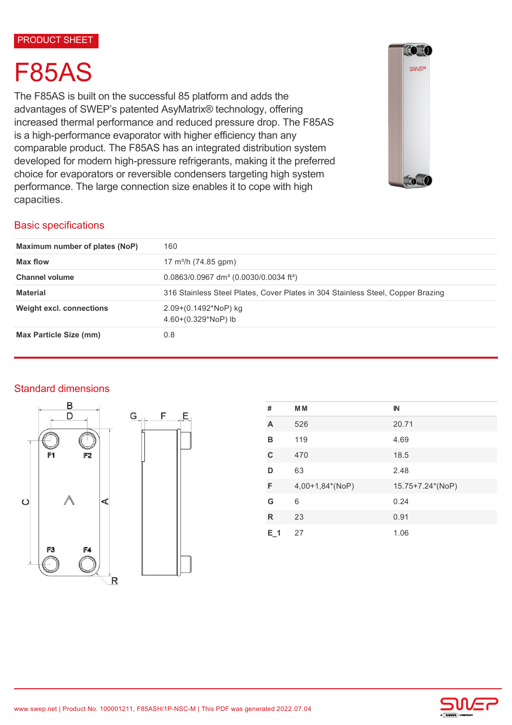#### PRODUCT SHEET

# F85AS

The F85AS is built on the successful 85 platform and adds the advantages of SWEP's patented AsyMatrix® technology, offering increased thermal performance and reduced pressure drop. The F85AS is a high-performance evaporator with higher efficiency than any comparable product. The F85AS has an integrated distribution system developed for modern high-pressure refrigerants, making it the preferred choice for evaporators or reversible condensers targeting high system performance. The large connection size enables it to cope with high capacities.



# Basic specifications

| Maximum number of plates (NoP)  | 160                                                                             |  |
|---------------------------------|---------------------------------------------------------------------------------|--|
| Max flow                        | 17 m <sup>3</sup> /h (74.85 gpm)                                                |  |
| <b>Channel volume</b>           | $0.0863/0.0967$ dm <sup>3</sup> (0.0030/0.0034 ft <sup>3</sup> )                |  |
| <b>Material</b>                 | 316 Stainless Steel Plates, Cover Plates in 304 Stainless Steel, Copper Brazing |  |
| <b>Weight excl. connections</b> | $2.09+(0.1492*NoP)$ kg<br>$4.60+(0.329*NoP)$ lb                                 |  |
| Max Particle Size (mm)          | 0.8                                                                             |  |

# Standard dimensions





| #       | <b>MM</b>       | $\mathbb{N}$     |
|---------|-----------------|------------------|
| A       | 526             | 20.71            |
| в       | 119             | 4.69             |
| C       | 470             | 18.5             |
| D       | 63              | 2.48             |
| F       | 4,00+1,84*(NoP) | 15.75+7.24*(NoP) |
| G       | 6               | 0.24             |
| R       | 23              | 0.91             |
| $E_1$ 1 | 27              | 1.06             |